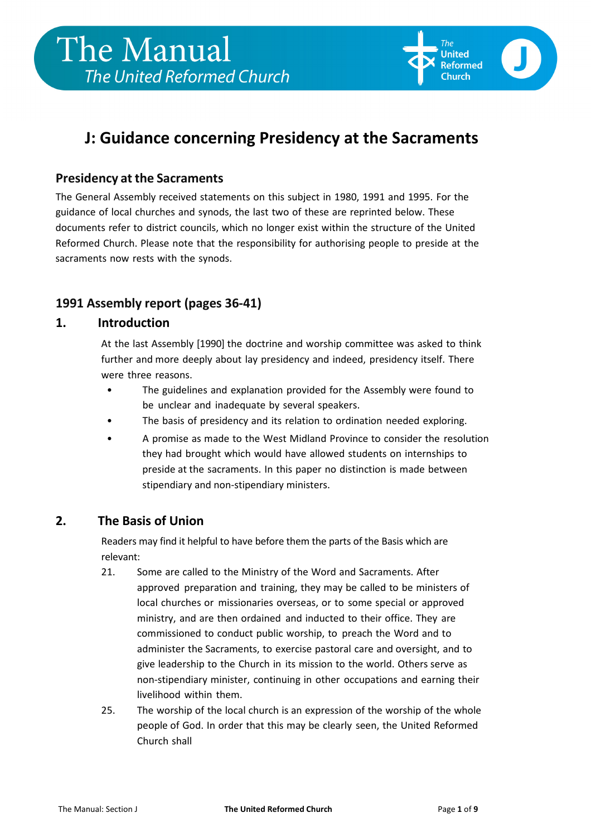

## **J: Guidance concerning Presidency at the Sacraments**

### **Presidency at the Sacraments**

The General Assembly received statements on this subject in 1980, 1991 and 1995. For the guidance of local churches and synods, the last two of these are reprinted below. These documents refer to district councils, which no longer exist within the structure of the United Reformed Church. Please note that the responsibility for authorising people to preside at the sacraments now rests with the synods.

## **1991 Assembly report (pages 36-41)**

### **1. Introduction**

At the last Assembly [1990] the doctrine and worship committee was asked to think further and more deeply about lay presidency and indeed, presidency itself. There were three reasons.

- The guidelines and explanation provided for the Assembly were found to be unclear and inadequate by several speakers.
- The basis of presidency and its relation to ordination needed exploring.
- A promise as made to the West Midland Province to consider the resolution they had brought which would have allowed students on internships to preside at the sacraments. In this paper no distinction is made between stipendiary and non-stipendiary ministers.

## **2. The Basis of Union**

Readers may find it helpful to have before them the parts of the Basis which are relevant:

- 21. Some are called to the Ministry of the Word and Sacraments. After approved preparation and training, they may be called to be ministers of local churches or missionaries overseas, or to some special or approved ministry, and are then ordained and inducted to their office. They are commissioned to conduct public worship, to preach the Word and to administer the Sacraments, to exercise pastoral care and oversight, and to give leadership to the Church in its mission to the world. Others serve as non-stipendiary minister, continuing in other occupations and earning their livelihood within them.
- 25. The worship of the local church is an expression of the worship of the whole people of God. In order that this may be clearly seen, the United Reformed Church shall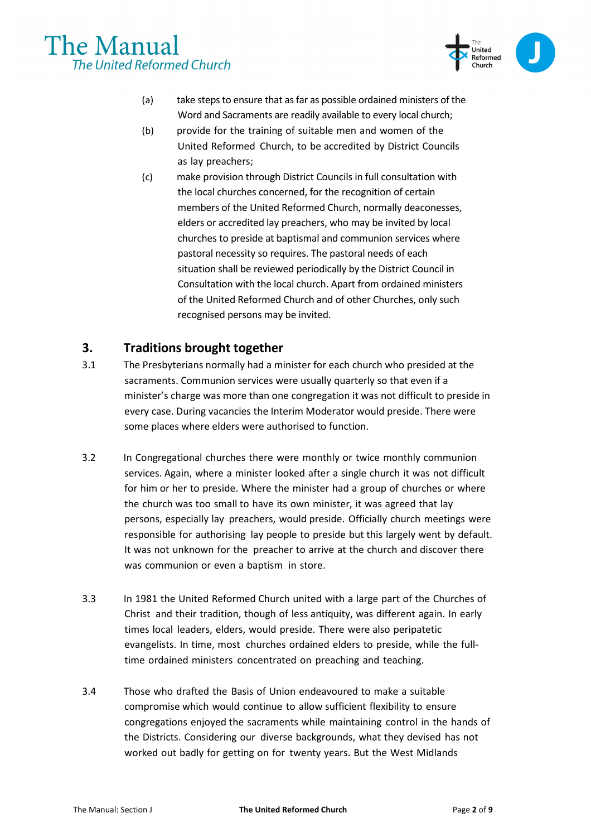

- (a) take steps to ensure that as far as possible ordained ministers of the Word and Sacraments are readily available to every local church;
- (b) provide for the training of suitable men and women of the United Reformed Church, to be accredited by District Councils as lay preachers;
- (c) make provision through District Councils in full consultation with the local churches concerned, for the recognition of certain members of the United Reformed Church, normally deaconesses, elders or accredited lay preachers, who may be invited by local churches to preside at baptismal and communion services where pastoral necessity so requires. The pastoral needs of each situation shall be reviewed periodically by the District Council in Consultation with the local church. Apart from ordained ministers of the United Reformed Church and of other Churches, only such recognised persons may be invited.

### **3. Traditions brought together**

- 3.1 The Presbyterians normally had a minister for each church who presided at the sacraments. Communion services were usually quarterly so that even if a minister's charge was more than one congregation it was not difficult to preside in every case. During vacancies the Interim Moderator would preside. There were some places where elders were authorised to function.
- 3.2 In Congregational churches there were monthly or twice monthly communion services. Again, where a minister looked after a single church it was not difficult for him or her to preside. Where the minister had a group of churches or where the church was too small to have its own minister, it was agreed that lay persons, especially lay preachers, would preside. Officially church meetings were responsible for authorising lay people to preside but this largely went by default. It was not unknown for the preacher to arrive at the church and discover there was communion or even a baptism in store.
- 3.3 In 1981 the United Reformed Church united with a large part of the Churches of Christ and their tradition, though of less antiquity, was different again. In early times local leaders, elders, would preside. There were also peripatetic evangelists. In time, most churches ordained elders to preside, while the fulltime ordained ministers concentrated on preaching and teaching.
- 3.4 Those who drafted the Basis of Union endeavoured to make a suitable compromise which would continue to allow sufficient flexibility to ensure congregations enjoyed the sacraments while maintaining control in the hands of the Districts. Considering our diverse backgrounds, what they devised has not worked out badly for getting on for twenty years. But the West Midlands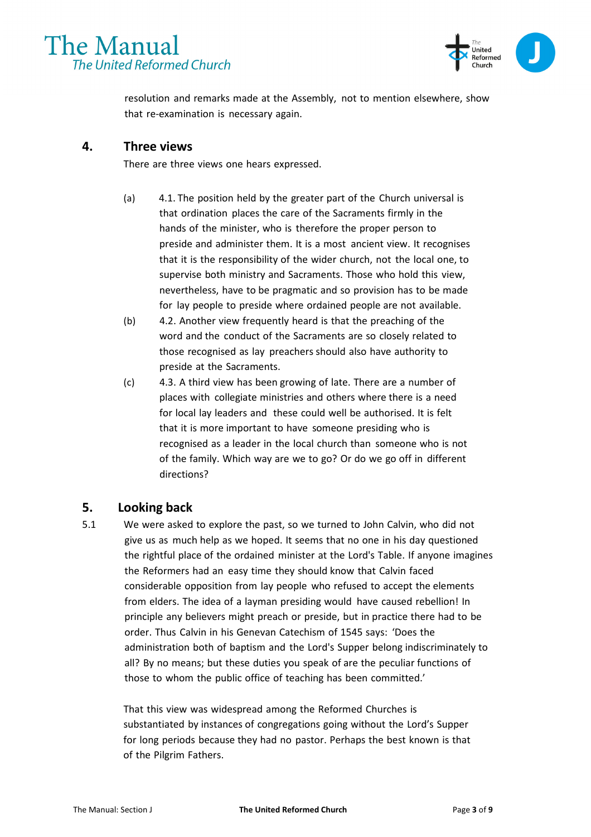



resolution and remarks made at the Assembly, not to mention elsewhere, show that re-examination is necessary again.

#### **4. Three views**

There are three views one hears expressed.

- (a) 4.1. The position held by the greater part of the Church universal is that ordination places the care of the Sacraments firmly in the hands of the minister, who is therefore the proper person to preside and administer them. It is a most ancient view. It recognises that it is the responsibility of the wider church, not the local one, to supervise both ministry and Sacraments. Those who hold this view, nevertheless, have to be pragmatic and so provision has to be made for lay people to preside where ordained people are not available.
- (b) 4.2. Another view frequently heard is that the preaching of the word and the conduct of the Sacraments are so closely related to those recognised as lay preachers should also have authority to preside at the Sacraments.
- (c) 4.3. A third view has been growing of late. There are a number of places with collegiate ministries and others where there is a need for local lay leaders and these could well be authorised. It is felt that it is more important to have someone presiding who is recognised as a leader in the local church than someone who is not of the family. Which way are we to go? Or do we go off in different directions?

#### **5. Looking back**

5.1 We were asked to explore the past, so we turned to John Calvin, who did not give us as much help as we hoped. It seems that no one in his day questioned the rightful place of the ordained minister at the Lord's Table. If anyone imagines the Reformers had an easy time they should know that Calvin faced considerable opposition from lay people who refused to accept the elements from elders. The idea of a layman presiding would have caused rebellion! In principle any believers might preach or preside, but in practice there had to be order. Thus Calvin in his Genevan Catechism of 1545 says: 'Does the administration both of baptism and the Lord's Supper belong indiscriminately to all? By no means; but these duties you speak of are the peculiar functions of those to whom the public office of teaching has been committed.'

That this view was widespread among the Reformed Churches is substantiated by instances of congregations going without the Lord's Supper for long periods because they had no pastor. Perhaps the best known is that of the Pilgrim Fathers.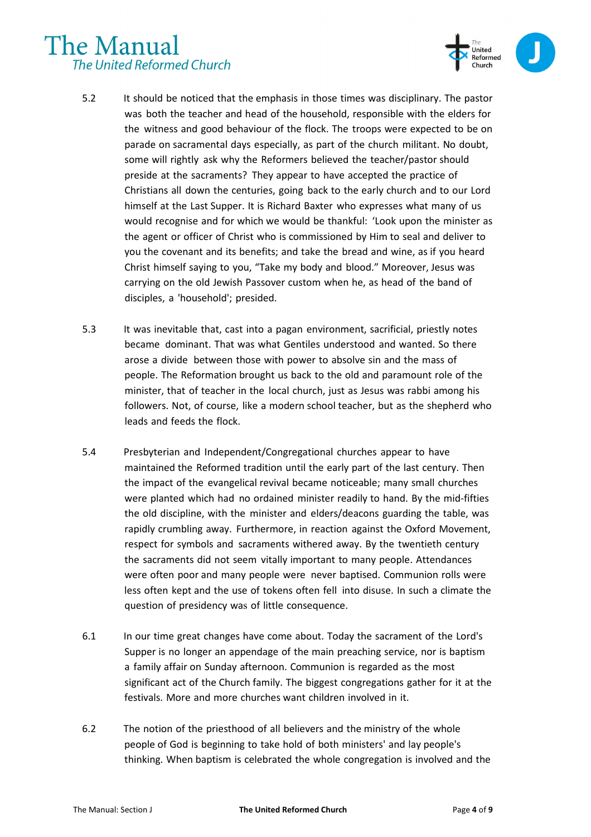

- 5.2 It should be noticed that the emphasis in those times was disciplinary. The pastor was both the teacher and head of the household, responsible with the elders for the witness and good behaviour of the flock. The troops were expected to be on parade on sacramental days especially, as part of the church militant. No doubt, some will rightly ask why the Reformers believed the teacher/pastor should preside at the sacraments? They appear to have accepted the practice of Christians all down the centuries, going back to the early church and to our Lord himself at the Last Supper. It is Richard Baxter who expresses what many of us would recognise and for which we would be thankful: 'Look upon the minister as the agent or officer of Christ who is commissioned by Him to seal and deliver to you the covenant and its benefits; and take the bread and wine, as if you heard Christ himself saying to you, "Take my body and blood." Moreover, Jesus was carrying on the old Jewish Passover custom when he, as head of the band of disciples, a 'household'; presided.
- 5.3 It was inevitable that, cast into a pagan environment, sacrificial, priestly notes became dominant. That was what Gentiles understood and wanted. So there arose a divide between those with power to absolve sin and the mass of people. The Reformation brought us back to the old and paramount role of the minister, that of teacher in the local church, just as Jesus was rabbi among his followers. Not, of course, like a modern school teacher, but as the shepherd who leads and feeds the flock.
- 5.4 Presbyterian and Independent/Congregational churches appear to have maintained the Reformed tradition until the early part of the last century. Then the impact of the evangelical revival became noticeable; many small churches were planted which had no ordained minister readily to hand. By the mid-fifties the old discipline, with the minister and elders/deacons guarding the table, was rapidly crumbling away. Furthermore, in reaction against the Oxford Movement, respect for symbols and sacraments withered away. By the twentieth century the sacraments did not seem vitally important to many people. Attendances were often poor and many people were never baptised. Communion rolls were less often kept and the use of tokens often fell into disuse. In such a climate the question of presidency was of little consequence.
- 6.1 In our time great changes have come about. Today the sacrament of the Lord's Supper is no longer an appendage of the main preaching service, nor is baptism a family affair on Sunday afternoon. Communion is regarded as the most significant act of the Church family. The biggest congregations gather for it at the festivals. More and more churches want children involved in it.
- 6.2 The notion of the priesthood of all believers and the ministry of the whole people of God is beginning to take hold of both ministers' and lay people's thinking. When baptism is celebrated the whole congregation is involved and the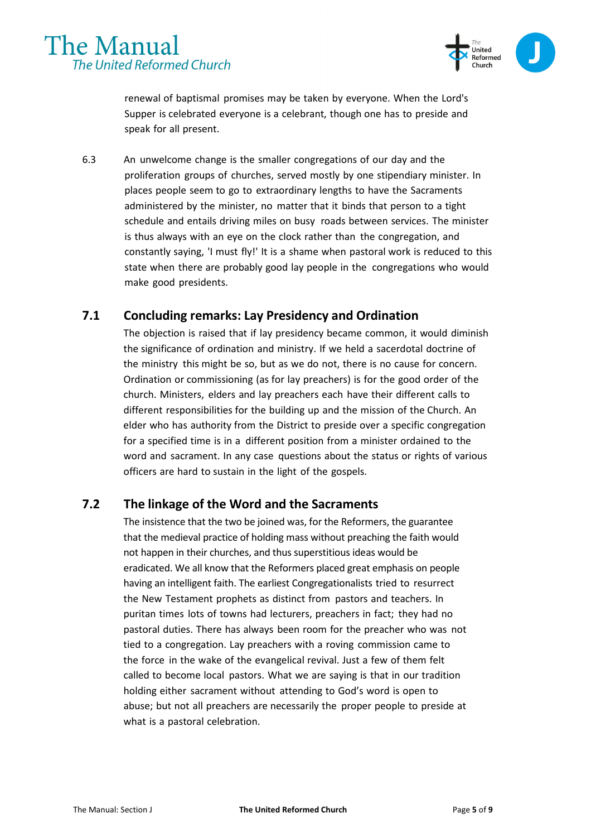



renewal of baptismal promises may be taken by everyone. When the Lord's Supper is celebrated everyone is a celebrant, though one has to preside and speak for all present.

6.3 An unwelcome change is the smaller congregations of our day and the proliferation groups of churches, served mostly by one stipendiary minister. In places people seem to go to extraordinary lengths to have the Sacraments administered by the minister, no matter that it binds that person to a tight schedule and entails driving miles on busy roads between services. The minister is thus always with an eye on the clock rather than the congregation, and constantly saying, 'I must fly!' It is a shame when pastoral work is reduced to this state when there are probably good lay people in the congregations who would make good presidents.

#### **7.1 Concluding remarks: Lay Presidency and Ordination**

The objection is raised that if lay presidency became common, it would diminish the significance of ordination and ministry. If we held a sacerdotal doctrine of the ministry this might be so, but as we do not, there is no cause for concern. Ordination or commissioning (as for lay preachers) is for the good order of the church. Ministers, elders and lay preachers each have their different calls to different responsibilities for the building up and the mission of the Church. An elder who has authority from the District to preside over a specific congregation for a specified time is in a different position from a minister ordained to the word and sacrament. In any case questions about the status or rights of various officers are hard to sustain in the light of the gospels.

#### **7.2 The linkage of the Word and the Sacraments**

The insistence that the two be joined was, for the Reformers, the guarantee that the medieval practice of holding mass without preaching the faith would not happen in their churches, and thus superstitious ideas would be eradicated. We all know that the Reformers placed great emphasis on people having an intelligent faith. The earliest Congregationalists tried to resurrect the New Testament prophets as distinct from pastors and teachers. In puritan times lots of towns had lecturers, preachers in fact; they had no pastoral duties. There has always been room for the preacher who was not tied to a congregation. Lay preachers with a roving commission came to the force in the wake of the evangelical revival. Just a few of them felt called to become local pastors. What we are saying is that in our tradition holding either sacrament without attending to God's word is open to abuse; but not all preachers are necessarily the proper people to preside at what is a pastoral celebration.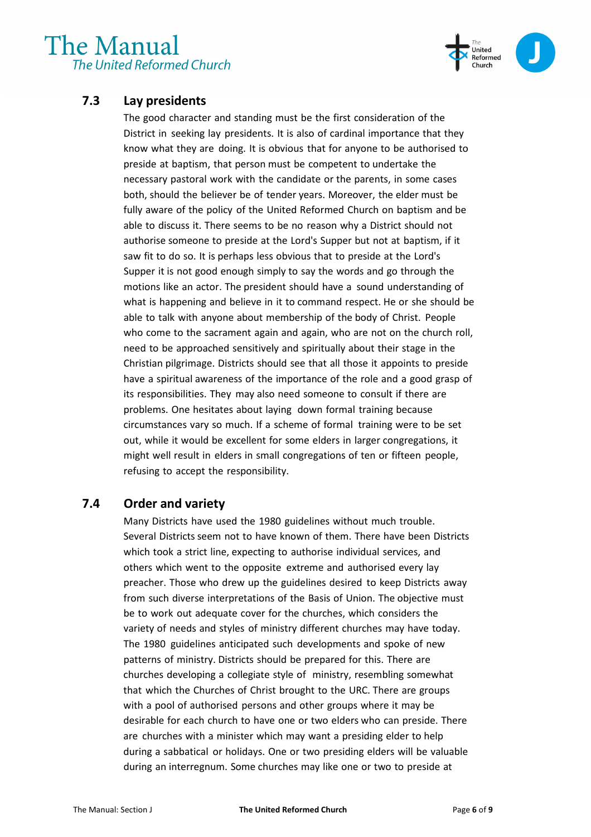

## **7.3 Lay presidents**

The good character and standing must be the first consideration of the District in seeking lay presidents. It is also of cardinal importance that they know what they are doing. It is obvious that for anyone to be authorised to preside at baptism, that person must be competent to undertake the necessary pastoral work with the candidate or the parents, in some cases both, should the believer be of tender years. Moreover, the elder must be fully aware of the policy of the United Reformed Church on baptism and be able to discuss it. There seems to be no reason why a District should not authorise someone to preside at the Lord's Supper but not at baptism, if it saw fit to do so. It is perhaps less obvious that to preside at the Lord's Supper it is not good enough simply to say the words and go through the motions like an actor. The president should have a sound understanding of what is happening and believe in it to command respect. He or she should be able to talk with anyone about membership of the body of Christ. People who come to the sacrament again and again, who are not on the church roll, need to be approached sensitively and spiritually about their stage in the Christian pilgrimage. Districts should see that all those it appoints to preside have a spiritual awareness of the importance of the role and a good grasp of its responsibilities. They may also need someone to consult if there are problems. One hesitates about laying down formal training because circumstances vary so much. If a scheme of formal training were to be set out, while it would be excellent for some elders in larger congregations, it might well result in elders in small congregations of ten or fifteen people, refusing to accept the responsibility.

### **7.4 Order and variety**

Many Districts have used the 1980 guidelines without much trouble. Several Districts seem not to have known of them. There have been Districts which took a strict line, expecting to authorise individual services, and others which went to the opposite extreme and authorised every lay preacher. Those who drew up the guidelines desired to keep Districts away from such diverse interpretations of the Basis of Union. The objective must be to work out adequate cover for the churches, which considers the variety of needs and styles of ministry different churches may have today. The 1980 guidelines anticipated such developments and spoke of new patterns of ministry. Districts should be prepared for this. There are churches developing a collegiate style of ministry, resembling somewhat that which the Churches of Christ brought to the URC. There are groups with a pool of authorised persons and other groups where it may be desirable for each church to have one or two elders who can preside. There are churches with a minister which may want a presiding elder to help during a sabbatical or holidays. One or two presiding elders will be valuable during an interregnum. Some churches may like one or two to preside at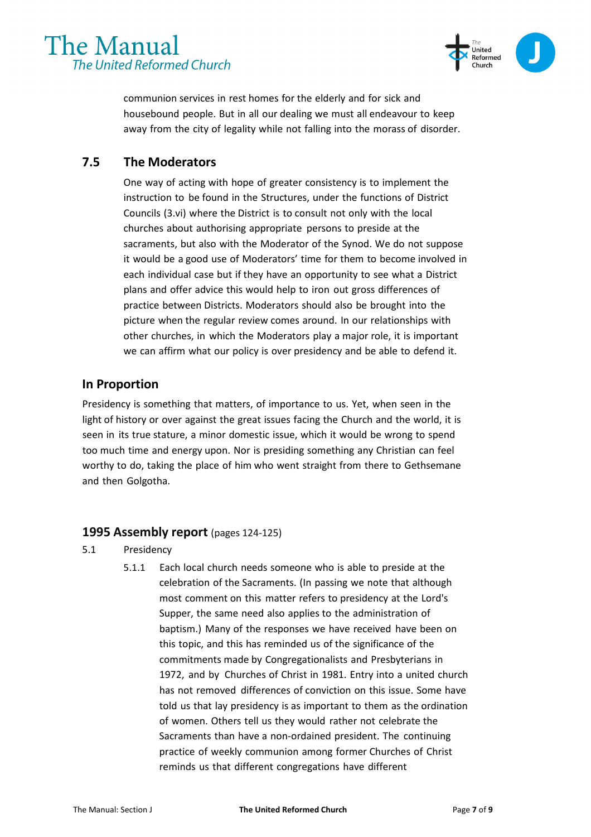

communion services in rest homes for the elderly and for sick and housebound people. But in all our dealing we must all endeavour to keep away from the city of legality while not falling into the morass of disorder.

### **7.5 The Moderators**

One way of acting with hope of greater consistency is to implement the instruction to be found in the Structures, under the functions of District Councils (3.vi) where the District is to consult not only with the local churches about authorising appropriate persons to preside at the sacraments, but also with the Moderator of the Synod. We do not suppose it would be a good use of Moderators' time for them to become involved in each individual case but if they have an opportunity to see what a District plans and offer advice this would help to iron out gross differences of practice between Districts. Moderators should also be brought into the picture when the regular review comes around. In our relationships with other churches, in which the Moderators play a major role, it is important we can affirm what our policy is over presidency and be able to defend it.

#### **In Proportion**

Presidency is something that matters, of importance to us. Yet, when seen in the light of history or over against the great issues facing the Church and the world, it is seen in its true stature, a minor domestic issue, which it would be wrong to spend too much time and energy upon. Nor is presiding something any Christian can feel worthy to do, taking the place of him who went straight from there to Gethsemane and then Golgotha.

#### **1995 Assembly report** (pages 124-125)

- 5.1 Presidency
	- 5.1.1 Each local church needs someone who is able to preside at the celebration of the Sacraments. (In passing we note that although most comment on this matter refers to presidency at the Lord's Supper, the same need also applies to the administration of baptism.) Many of the responses we have received have been on this topic, and this has reminded us of the significance of the commitments made by Congregationalists and Presbyterians in 1972, and by Churches of Christ in 1981. Entry into a united church has not removed differences of conviction on this issue. Some have told us that lay presidency is as important to them as the ordination of women. Others tell us they would rather not celebrate the Sacraments than have a non-ordained president. The continuing practice of weekly communion among former Churches of Christ reminds us that different congregations have different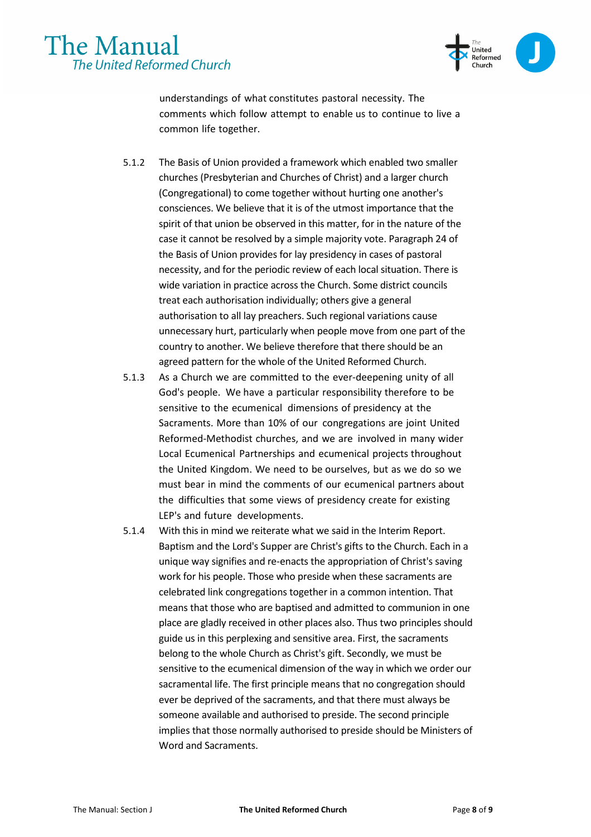



understandings of what constitutes pastoral necessity. The comments which follow attempt to enable us to continue to live a common life together.

- 5.1.2 The Basis of Union provided a framework which enabled two smaller churches (Presbyterian and Churches of Christ) and a larger church (Congregational) to come together without hurting one another's consciences. We believe that it is of the utmost importance that the spirit of that union be observed in this matter, for in the nature of the case it cannot be resolved by a simple majority vote. Paragraph 24 of the Basis of Union provides for lay presidency in cases of pastoral necessity, and for the periodic review of each local situation. There is wide variation in practice across the Church. Some district councils treat each authorisation individually; others give a general authorisation to all lay preachers. Such regional variations cause unnecessary hurt, particularly when people move from one part of the country to another. We believe therefore that there should be an agreed pattern for the whole of the United Reformed Church.
- 5.1.3 As a Church we are committed to the ever-deepening unity of all God's people. We have a particular responsibility therefore to be sensitive to the ecumenical dimensions of presidency at the Sacraments. More than 10% of our congregations are joint United Reformed-Methodist churches, and we are involved in many wider Local Ecumenical Partnerships and ecumenical projects throughout the United Kingdom. We need to be ourselves, but as we do so we must bear in mind the comments of our ecumenical partners about the difficulties that some views of presidency create for existing LEP's and future developments.
- 5.1.4 With this in mind we reiterate what we said in the Interim Report. Baptism and the Lord's Supper are Christ's gifts to the Church. Each in a unique way signifies and re-enacts the appropriation of Christ's saving work for his people. Those who preside when these sacraments are celebrated link congregations together in a common intention. That means that those who are baptised and admitted to communion in one place are gladly received in other places also. Thus two principles should guide us in this perplexing and sensitive area. First, the sacraments belong to the whole Church as Christ's gift. Secondly, we must be sensitive to the ecumenical dimension of the way in which we order our sacramental life. The first principle means that no congregation should ever be deprived of the sacraments, and that there must always be someone available and authorised to preside. The second principle implies that those normally authorised to preside should be Ministers of Word and Sacraments.